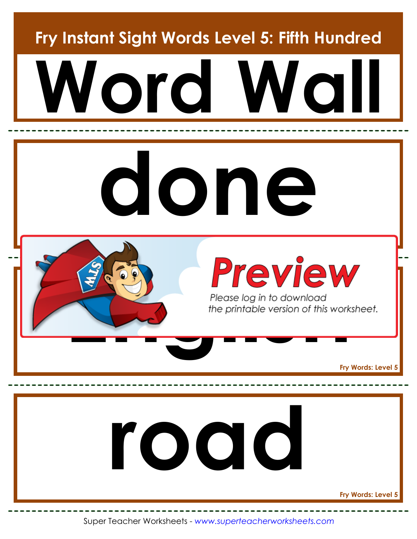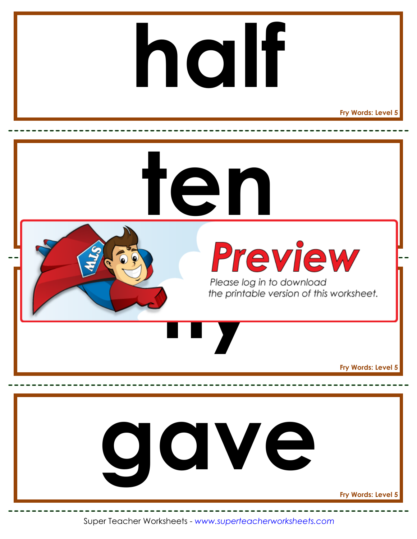## **half**

**Fry Words: Level 5**

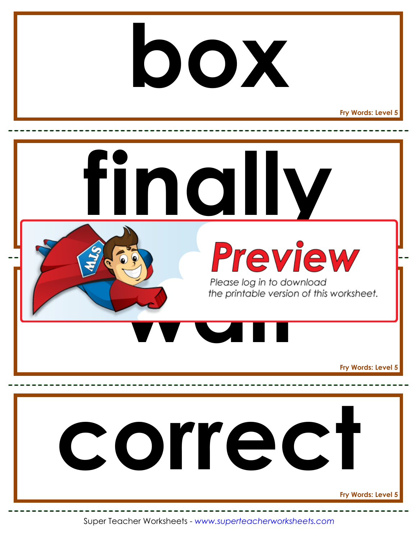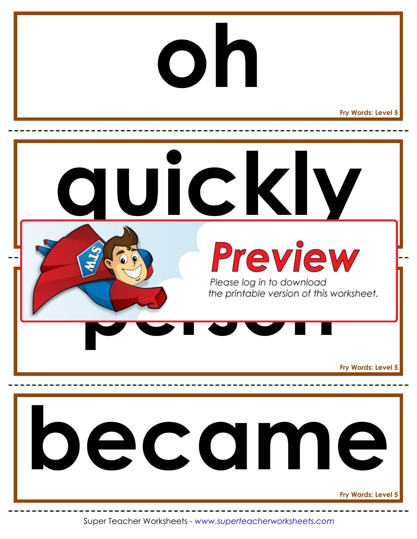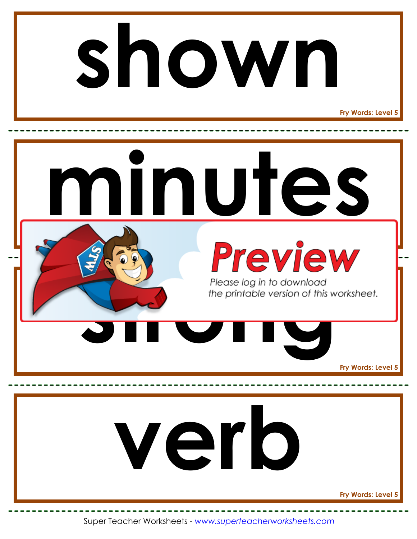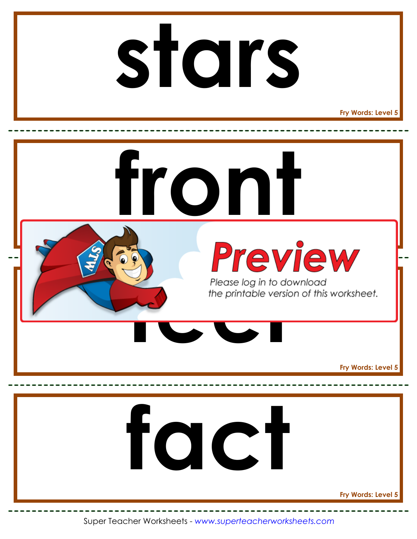## **stars**

**Fry Words: Level 5**

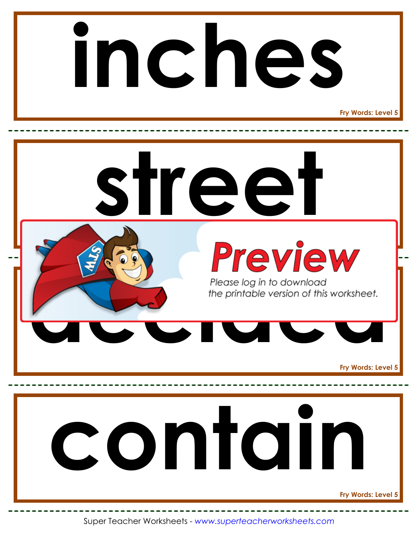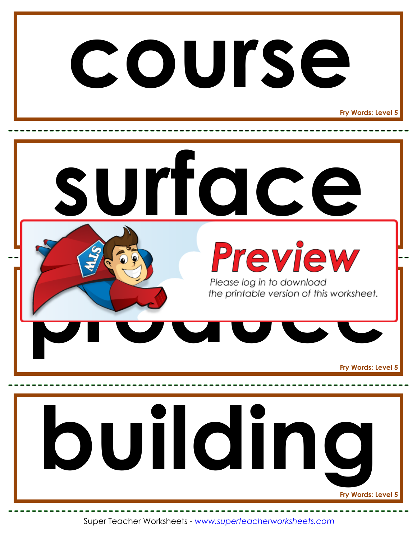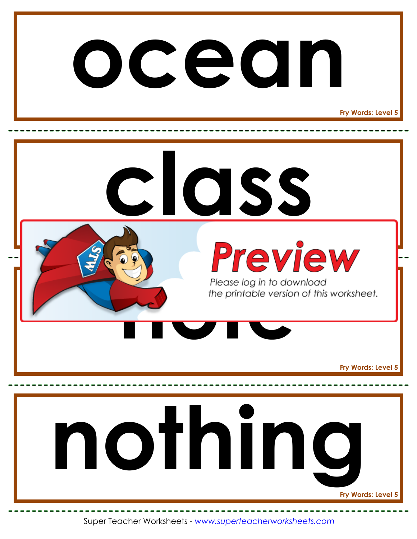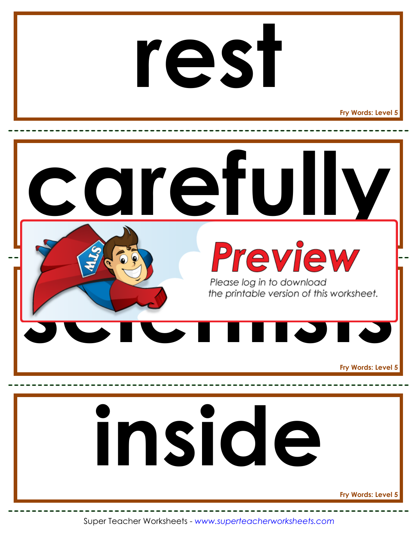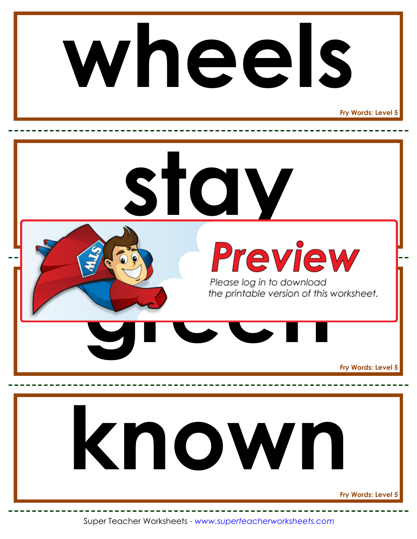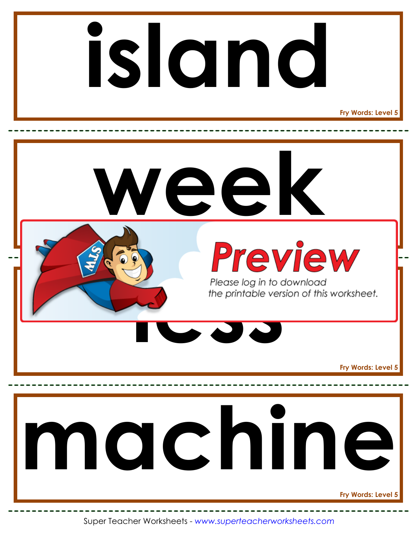

Super Teacher Worksheets - *www.superteacherworksheets.com*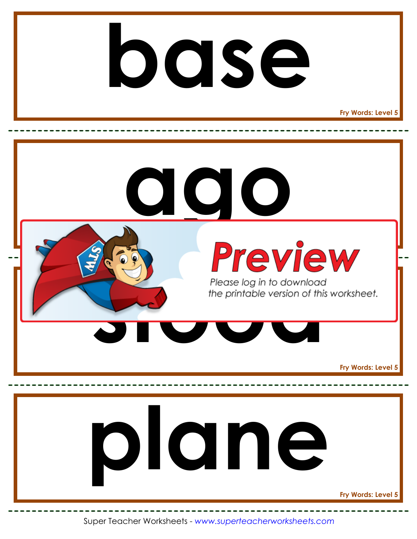#### **base**

**Fry Words: Level 5**

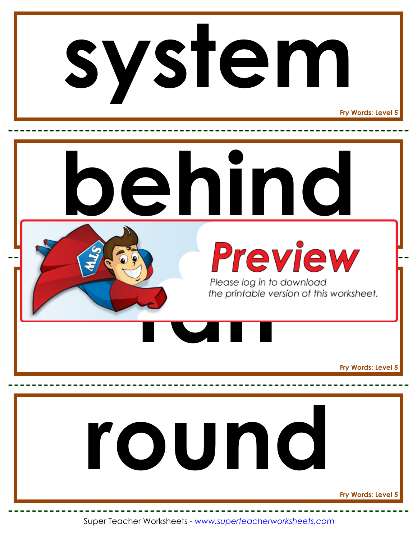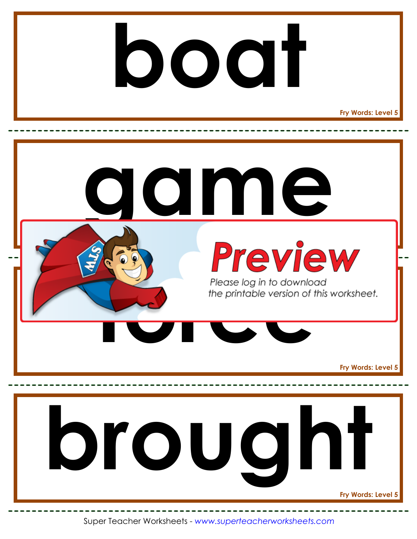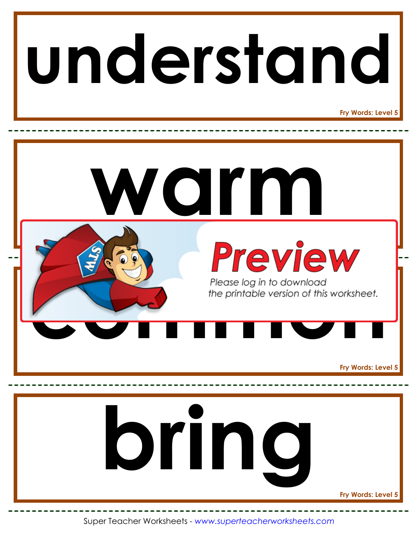## **understand**

**Fry Words: Level 5**

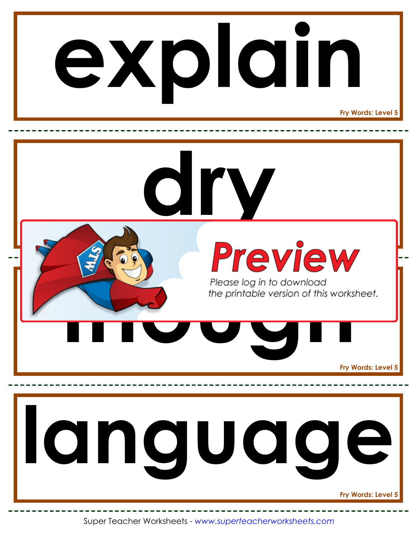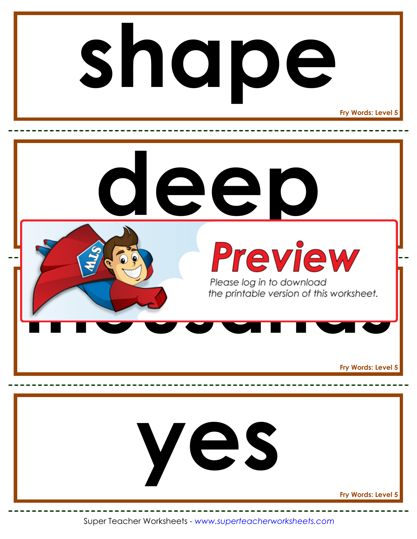# **shape**

**Fry Words: Level 5**

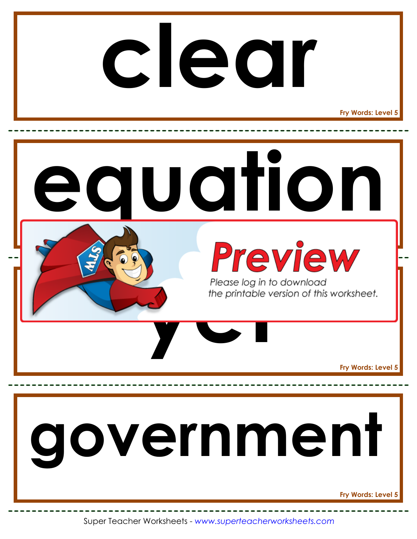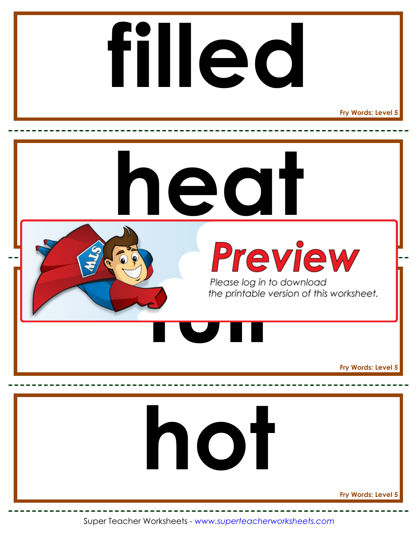

**Fry Words: Level 5**

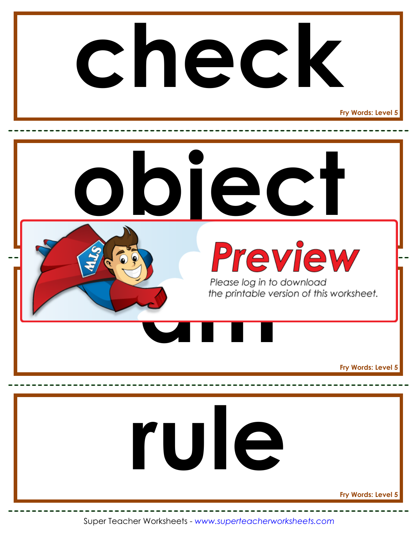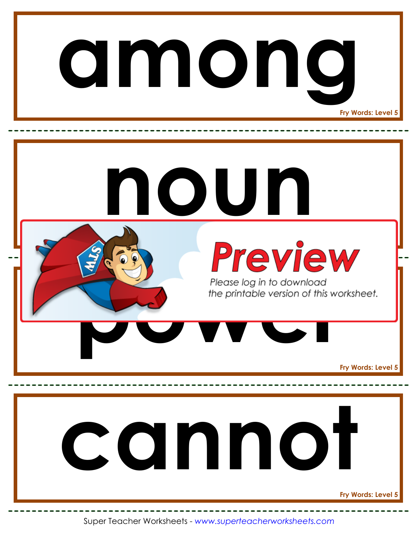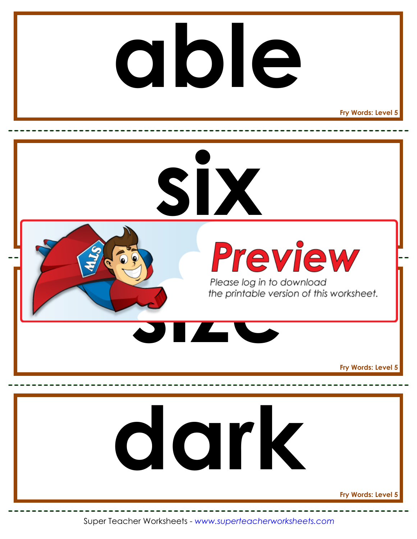#### **Fry Words: Level 5 able**

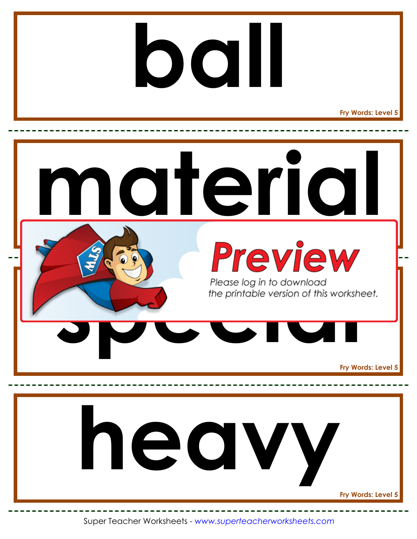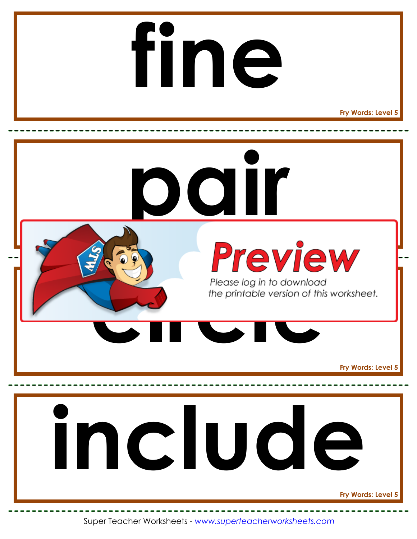## **fine**

**Fry Words: Level 5**